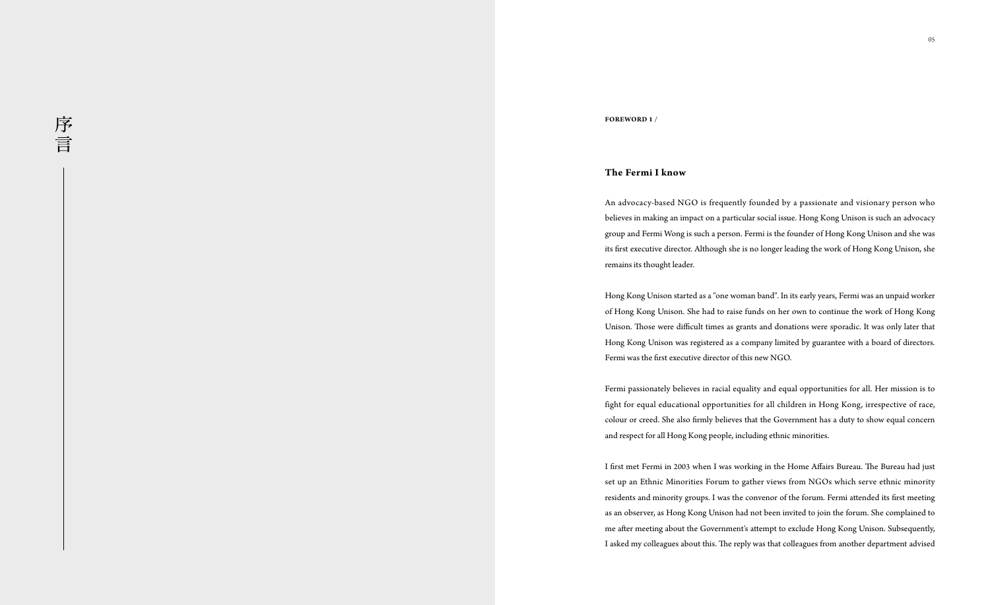#### **FOREWORD 1 /**

### **The Fermi I know**

An advocacy-based NGO is frequently founded by a passionate and visionary person who believes in making an impact on a particular social issue. Hong Kong Unison is such an advocacy group and Fermi Wong is such a person. Fermi is the founder of Hong Kong Unison and she was its first executive director. Although she is no longer leading the work of Hong Kong Unison, she remains its thought leader.

Hong Kong Unison started as a "one woman band". In its early years, Fermi was an unpaid worker of Hong Kong Unison. She had to raise funds on her own to continue the work of Hong Kong Unison. Those were difficult times as grants and donations were sporadic. It was only later that Hong Kong Unison was registered as a company limited by guarantee with a board of directors. Fermi was the first executive director of this new NGO.

Fermi passionately believes in racial equality and equal opportunities for all. Her mission is to fight for equal educational opportunities for all children in Hong Kong, irrespective of race, colour or creed. She also firmly believes that the Government has a duty to show equal concern and respect for all Hong Kong people, including ethnic minorities.

I first met Fermi in 2003 when I was working in the Home Affairs Bureau. The Bureau had just set up an Ethnic Minorities Forum to gather views from NGOs which serve ethnic minority residents and minority groups. I was the convenor of the forum. Fermi attended its first meeting as an observer, as Hong Kong Unison had not been invited to join the forum. She complained to me after meeting about the Government's attempt to exclude Hong Kong Unison. Subsequently, I asked my colleagues about this. The reply was that colleagues from another department advised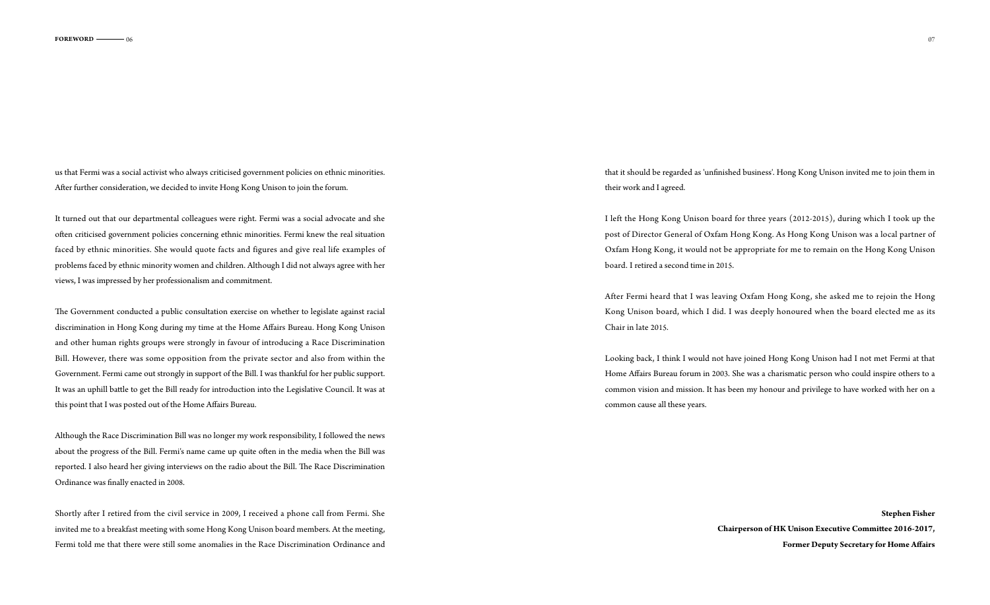us that Fermi was a social activist who always criticised government policies on ethnic minorities. After further consideration, we decided to invite Hong Kong Unison to join the forum.

It turned out that our departmental colleagues were right. Fermi was a social advocate and she often criticised government policies concerning ethnic minorities. Fermi knew the real situation faced by ethnic minorities. She would quote facts and figures and give real life examples of problems faced by ethnic minority women and children. Although I did not always agree with her views, I was impressed by her professionalism and commitment.

The Government conducted a public consultation exercise on whether to legislate against racial discrimination in Hong Kong during my time at the Home Affairs Bureau. Hong Kong Unison and other human rights groups were strongly in favour of introducing a Race Discrimination Bill. However, there was some opposition from the private sector and also from within the Government. Fermi came out strongly in support of the Bill. I was thankful for her public support. It was an uphill battle to get the Bill ready for introduction into the Legislative Council. It was at this point that I was posted out of the Home Affairs Bureau.

Although the Race Discrimination Bill was no longer my work responsibility, I followed the news about the progress of the Bill. Fermi's name came up quite often in the media when the Bill was reported. I also heard her giving interviews on the radio about the Bill. The Race Discrimination Ordinance was finally enacted in 2008.

Shortly after I retired from the civil service in 2009, I received a phone call from Fermi. She invited me to a breakfast meeting with some Hong Kong Unison board members. At the meeting, Fermi told me that there were still some anomalies in the Race Discrimination Ordinance and

that it should be regarded as 'unfinished business'. Hong Kong Unison invited me to join them in their work and I agreed.

I left the Hong Kong Unison board for three years (2012-2015), during which I took up the post of Director General of Oxfam Hong Kong. As Hong Kong Unison was a local partner of Oxfam Hong Kong, it would not be appropriate for me to remain on the Hong Kong Unison board. I retired a second time in 2015.

After Fermi heard that I was leaving Oxfam Hong Kong, she asked me to rejoin the Hong Kong Unison board, which I did. I was deeply honoured when the board elected me as its Chair in late 2015.

Looking back, I think I would not have joined Hong Kong Unison had I not met Fermi at that Home Affairs Bureau forum in 2003. She was a charismatic person who could inspire others to a common vision and mission. It has been my honour and privilege to have worked with her on a common cause all these years.

> **Stephen Fisher Chairperson of HK Unison Executive Committee 2016-2017, Former Deputy Secretary for Home Affairs**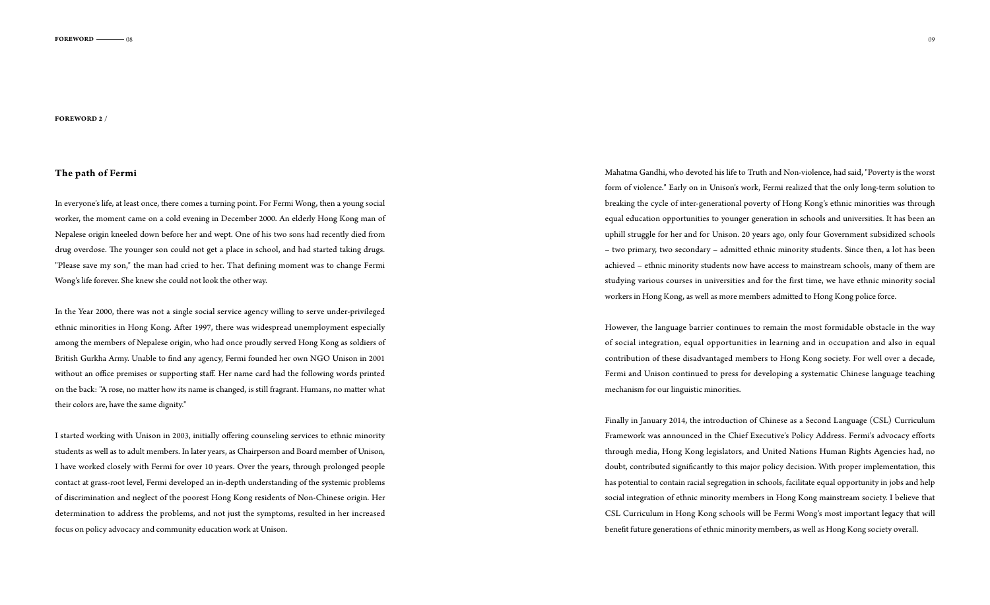#### **FOREWORD 2 /**

#### **The path of Fermi**

In everyone's life, at least once, there comes a turning point. For Fermi Wong, then a young social worker, the moment came on a cold evening in December 2000. An elderly Hong Kong man of Nepalese origin kneeled down before her and wept. One of his two sons had recently died from drug overdose. The younger son could not get a place in school, and had started taking drugs. "Please save my son," the man had cried to her. That defining moment was to change Fermi Wong's life forever. She knew she could not look the other way.

In the Year 2000, there was not a single social service agency willing to serve under-privileged ethnic minorities in Hong Kong. After 1997, there was widespread unemployment especially among the members of Nepalese origin, who had once proudly served Hong Kong as soldiers of British Gurkha Army. Unable to find any agency, Fermi founded her own NGO Unison in 2001 without an office premises or supporting staff. Her name card had the following words printed on the back: "A rose, no matter how its name is changed, is still fragrant. Humans, no matter what their colors are, have the same dignity."

I started working with Unison in 2003, initially offering counseling services to ethnic minority students as well as to adult members. In later years, as Chairperson and Board member of Unison, I have worked closely with Fermi for over 10 years. Over the years, through prolonged people contact at grass-root level, Fermi developed an in-depth understanding of the systemic problems of discrimination and neglect of the poorest Hong Kong residents of Non-Chinese origin. Her determination to address the problems, and not just the symptoms, resulted in her increased focus on policy advocacy and community education work at Unison.

Mahatma Gandhi, who devoted his life to Truth and Non-violence, had said, "Poverty is the worst form of violence." Early on in Unison's work, Fermi realized that the only long-term solution to breaking the cycle of inter-generational poverty of Hong Kong's ethnic minorities was through equal education opportunities to younger generation in schools and universities. It has been an uphill struggle for her and for Unison. 20 years ago, only four Government subsidized schools – two primary, two secondary – admitted ethnic minority students. Since then, a lot has been achieved – ethnic minority students now have access to mainstream schools, many of them are studying various courses in universities and for the first time, we have ethnic minority social workers in Hong Kong, as well as more members admitted to Hong Kong police force.

However, the language barrier continues to remain the most formidable obstacle in the way of social integration, equal opportunities in learning and in occupation and also in equal contribution of these disadvantaged members to Hong Kong society. For well over a decade, Fermi and Unison continued to press for developing a systematic Chinese language teaching mechanism for our linguistic minorities.

Finally in January 2014, the introduction of Chinese as a Second Language (CSL) Curriculum Framework was announced in the Chief Executive's Policy Address. Fermi's advocacy efforts through media, Hong Kong legislators, and United Nations Human Rights Agencies had, no doubt, contributed significantly to this major policy decision. With proper implementation, this has potential to contain racial segregation in schools, facilitate equal opportunity in jobs and help social integration of ethnic minority members in Hong Kong mainstream society. I believe that CSL Curriculum in Hong Kong schools will be Fermi Wong's most important legacy that will benefit future generations of ethnic minority members, as well as Hong Kong society overall.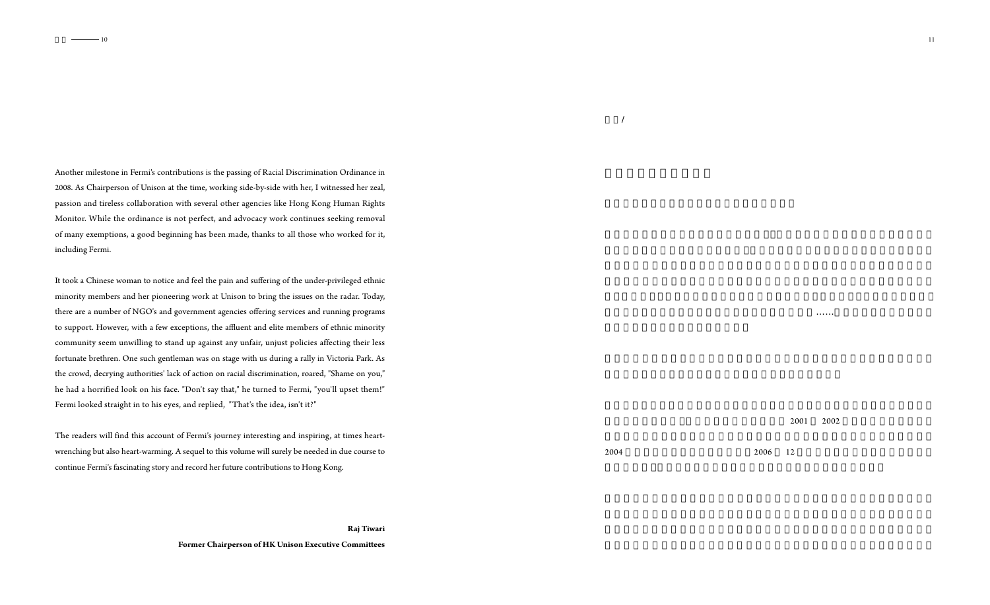Another milestone in Fermi's contributions is the passing of Racial Discrimination Ordinance in 2008. As Chairperson of Unison at the time, working side-by-side with her, I witnessed her zeal, passion and tireless collaboration with several other agencies like Hong Kong Human Rights Monitor. While the ordinance is not perfect, and advocacy work continues seeking removal of many exemptions, a good beginning has been made, thanks to all those who worked for it, including Fermi.

It took a Chinese woman to notice and feel the pain and suffering of the under-privileged ethnic minority members and her pioneering work at Unison to bring the issues on the radar. Today, there are a number of NGO's and government agencies offering services and running programs to support. However, with a few exceptions, the affluent and elite members of ethnic minority community seem unwilling to stand up against any unfair, unjust policies affecting their less fortunate brethren. One such gentleman was on stage with us during a rally in Victoria Park. As the crowd, decrying authorities' lack of action on racial discrimination, roared, "Shame on you," he had a horrified look on his face. "Don't say that," he turned to Fermi, "you'll upset them!" Fermi looked straight in to his eyes, and replied, "That's the idea, isn't it?"

The readers will find this account of Fermi's journey interesting and inspiring, at times heartwrenching but also heart-warming. A sequel to this volume will surely be needed in due course to continue Fermi's fascinating story and record her future contributions to Hong Kong.

 $2001 \quad 2002$ 

 $2004$   $2006$   $12$ 

**Raj Tiwari**

**Former Chairperson of HK Unison Executive Committees**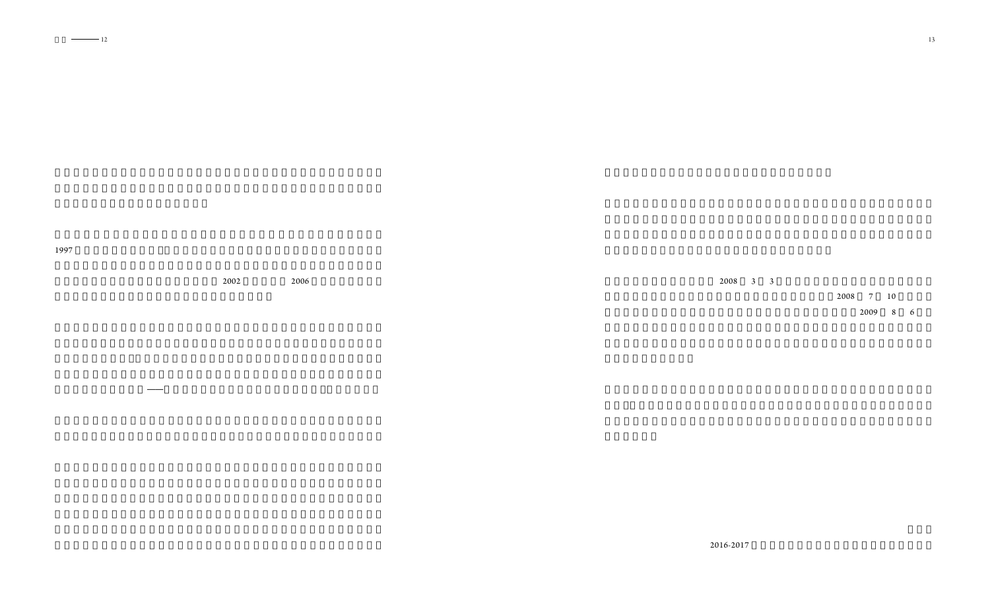多數香人屬同一種族——漢族,所以歧視他們就不屬「種族歧視」,不受保護!

為了條例草案的重大缺陷, 2008 3 3 日我專程赴日內瓦向消除種族歧視國際

 $2008$  7 10

通過,我們盡了最大的努力,仍不能彌補其中一些重大缺陷。2009 8 6 日,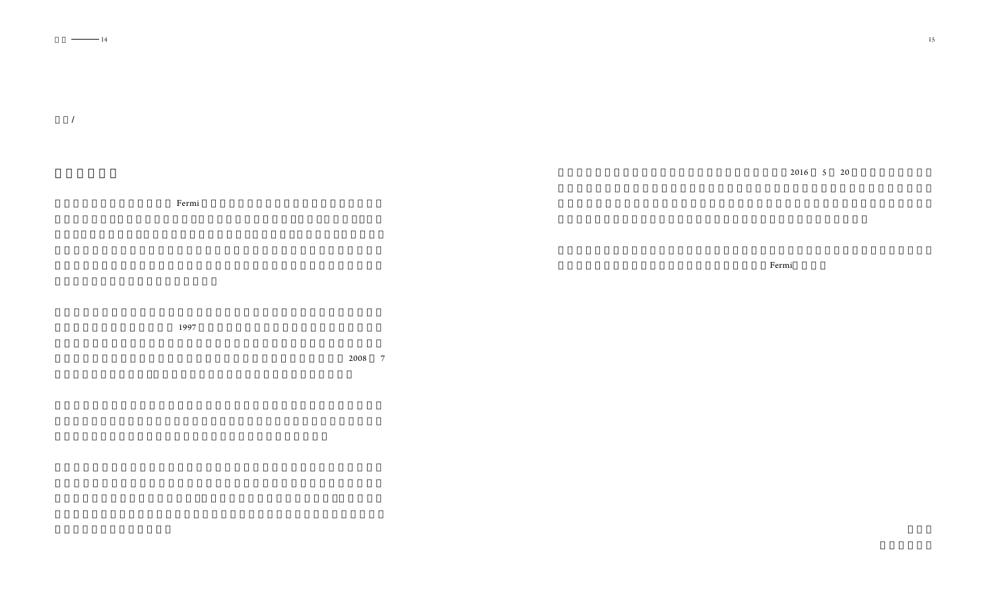雖然王惠芬和融樂會努力工作,我恐怕他們是孤軍作戰。2016 5 20 日,我和張超雄議員

 $Fermi$ 

 $1997$ 

我多年前在立法會工作時認識 Fermi 王惠芬,她代表香融樂會出席會議,為少數

立法禁止種族歧視,便會被視為違反公約。這指控終於迫使特區政府在 2008 7

 $\frac{15}{15}$  14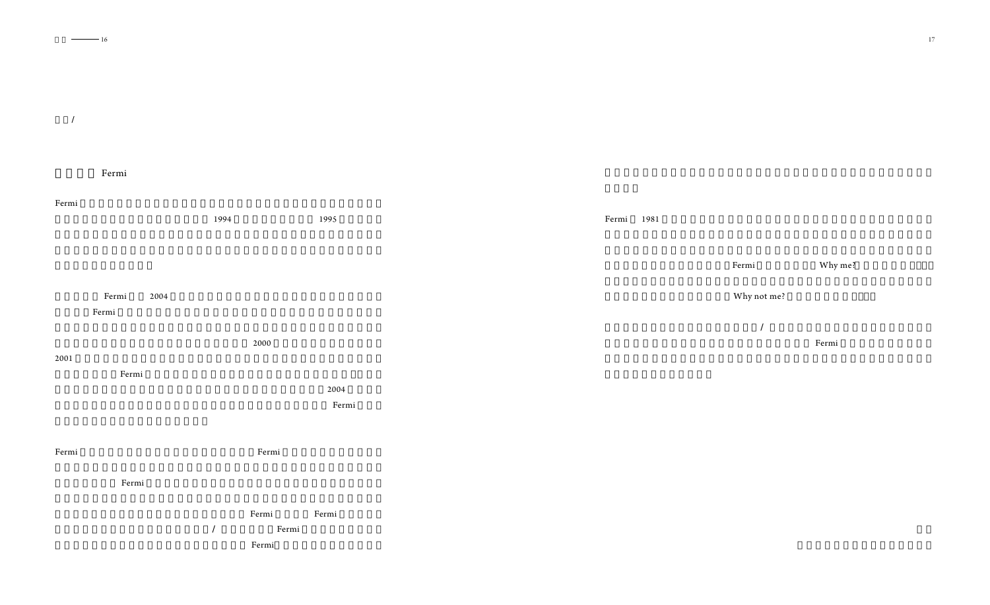| Fermi            |                                              | 1994                                                     | 1995                     | Fermi 1981 |             |                  |
|------------------|----------------------------------------------|----------------------------------------------------------|--------------------------|------------|-------------|------------------|
|                  |                                              |                                                          |                          |            | Fermi       | Why me?          |
|                  | ${\hbox{Fermi}}$<br>2004<br>${\hbox{Fermi}}$ |                                                          |                          |            | Why not me? |                  |
| 2001             | ${\hbox{Fermi}}$                             | 2000                                                     |                          |            |             | ${\hbox{Fermi}}$ |
|                  |                                              |                                                          | 2004<br>${\hbox{Fermi}}$ |            |             |                  |
| ${\hbox{Fermi}}$ |                                              | ${\hbox{Fermi}}$                                         |                          |            |             |                  |
|                  | ${\hbox{Fermi}}$                             |                                                          |                          |            |             |                  |
|                  |                                              | ${\hbox{Fermi}}$<br>${\hbox{Fermi}}$<br>${\hbox{Fermi}}$ | ${\hbox{Fermi}}$         |            |             |                  |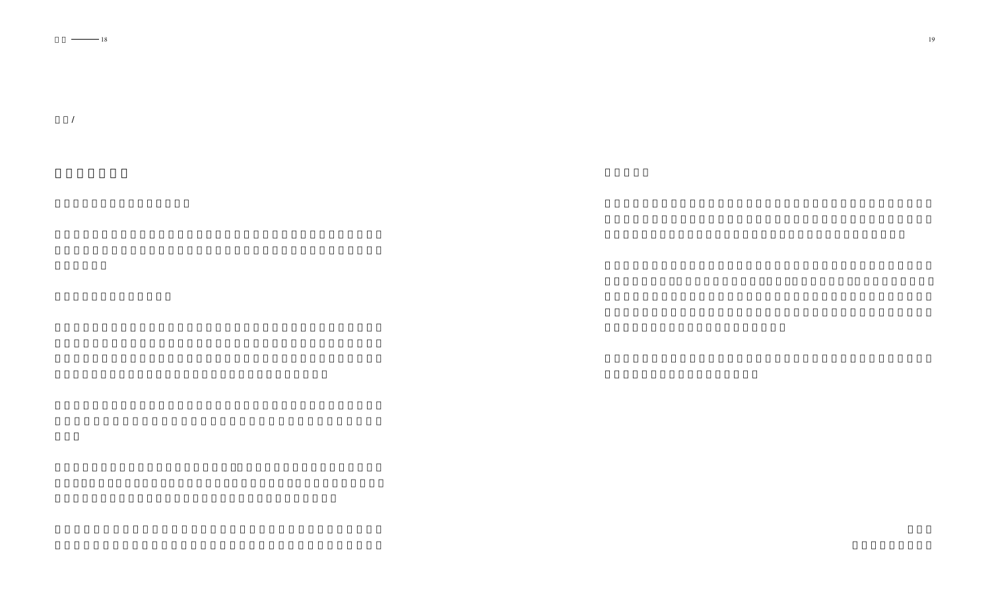$\frac{19}{19}$  18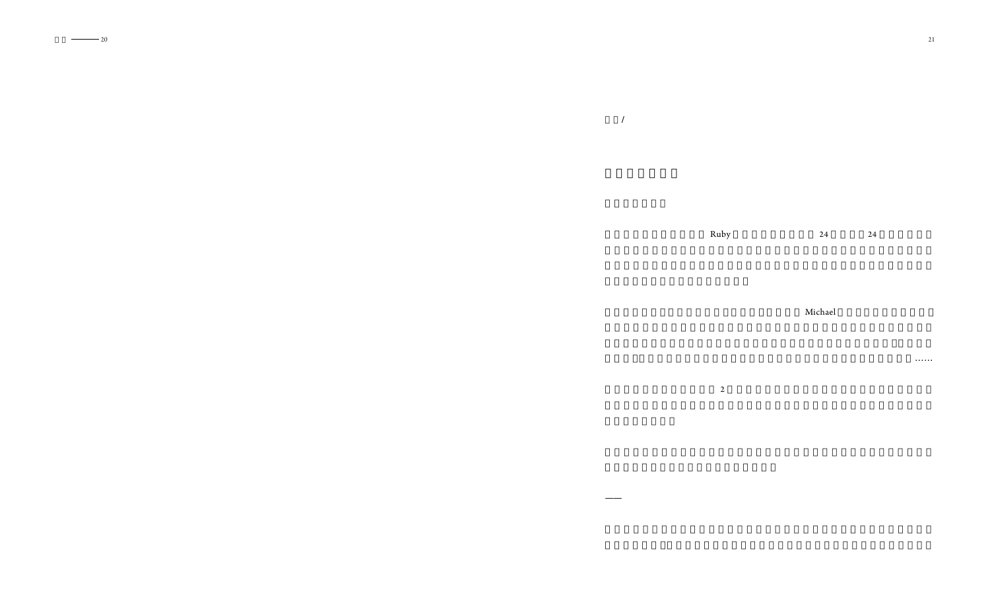$\text{Ruby}$  24  $\text{24}$ 

 $\overline{2}$ 

——

Michael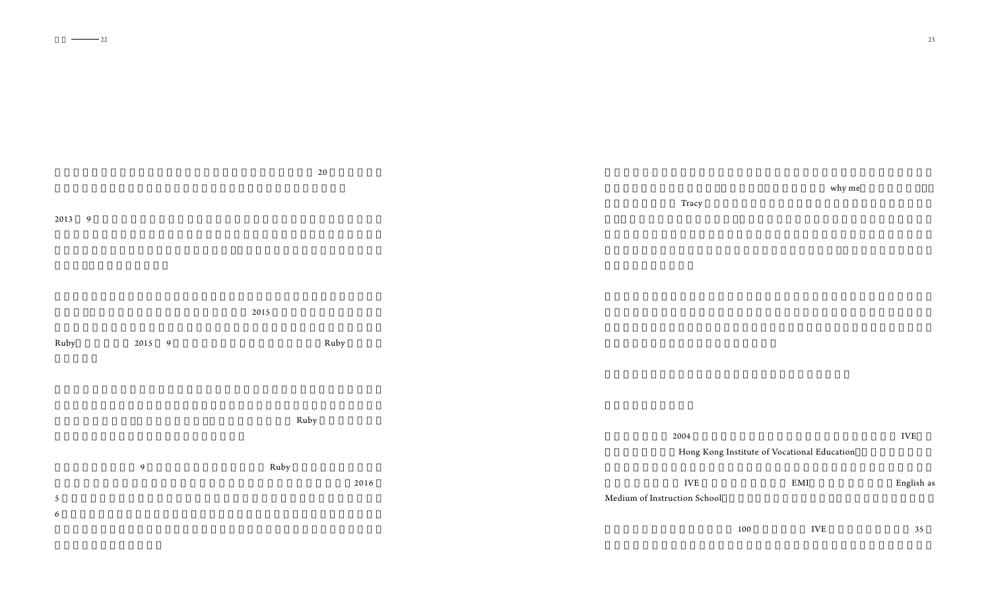













 $\text{Tracy}$ 

 $2004$  IVE Hong Kong Institute of Vocational Education

# Medium of Instruction School

IVE EMI EMI English as

why me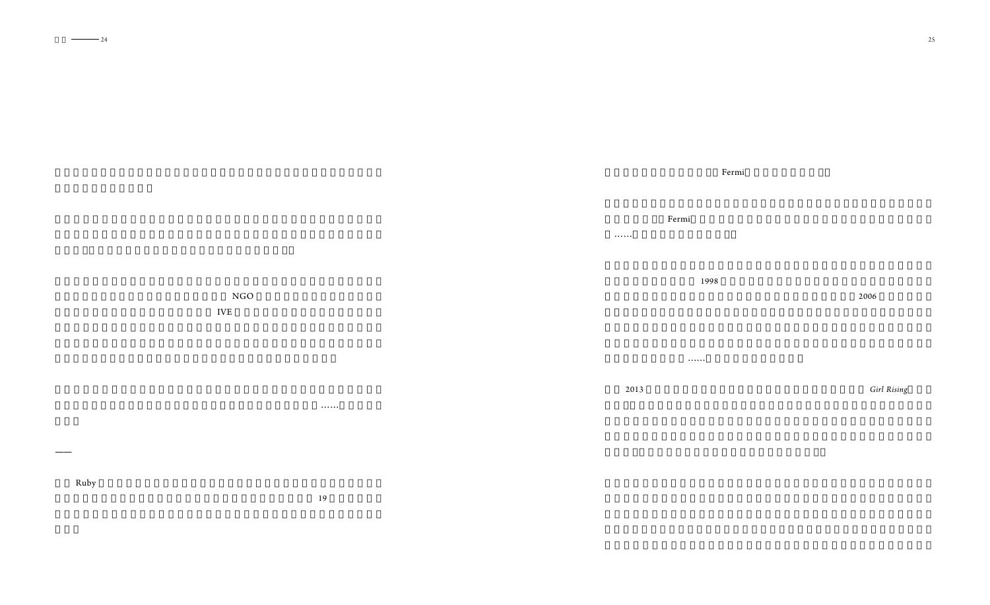# Fermi

# 子,我好像你的话,我知道,我是生存不可能,我是生存不可能,我是生存不可能,我是生存不了,如果我好像你的心理,我是生存不了,如果我好像你的心理,我是生存不了,如此

覺得有所虧欠。我打從 1998 年開始服務少數族裔,便以七成的工作比例,跟進少

### $2006$

Ruby  $\mathbb{R}$ 

——

# $\overline{C}$  IVE

# $NGO$

 $\frac{25}{2}$  25

記得 2013 年,有位美國導演深入多個發展中國家拍了一套紀錄片 *Girl Rising*(女孩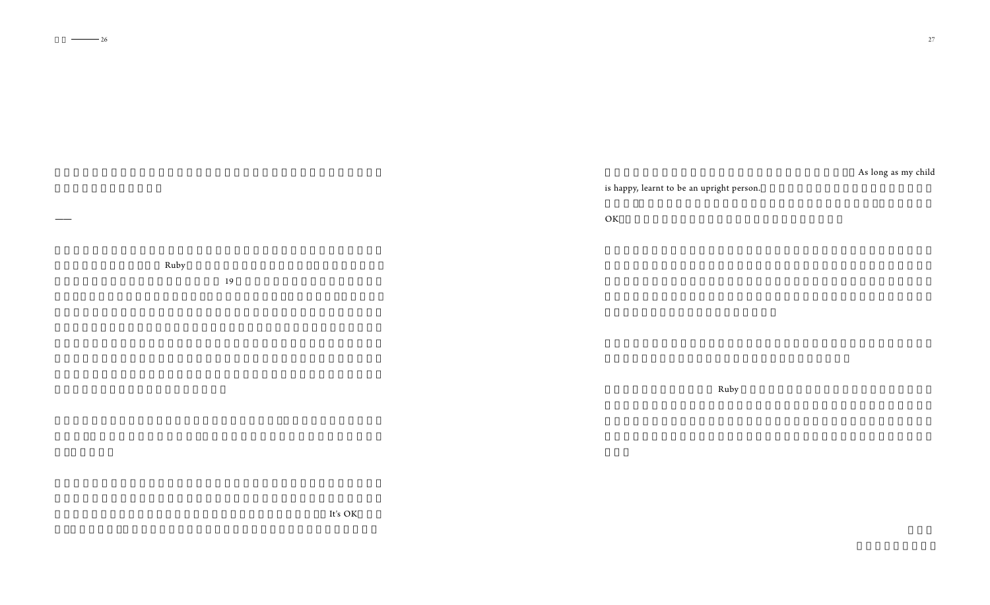is happy, learnt to be an upright person.

OK

 $\frac{27}{2}$  26

這書以我的自述出發,透過 Ruby 輔以不同資料和訪問編撰闡述,以第三人稱書寫。

——

 $19$ 

最後容許我再一次衷心多謝 Ruby 過去一年半的努力,為香的少數族裔留下歷史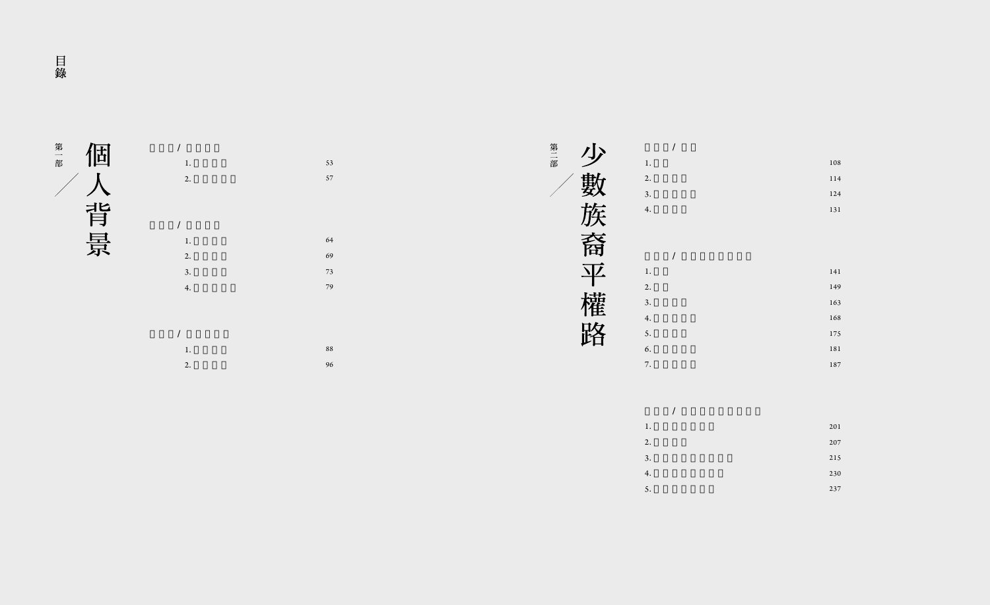目錄



| $1\,.$           |  |
|------------------|--|
| $\overline{2}$ . |  |
|                  |  |
|                  |  |
|                  |  |
| $1\,.$           |  |
| $\mathbf{2}$ .   |  |
| 3.4.             |  |
|                  |  |
|                  |  |
|                  |  |
|                  |  |
| $1\,.$           |  |
| $\mathbf{2}$ .   |  |

88 96

"一少數族裔平權路

 $1.$ 

4.

1. 2.  $3.$ 4. 校園的隔閡  $5.$  $6.$ 

7. 升學路漫漫

 $2.$ 3. 創立融樂會

201 207 215 230 237 1.  $2.$  $3.$ 4. 第二語言學習架構 5. 第二語言的成敗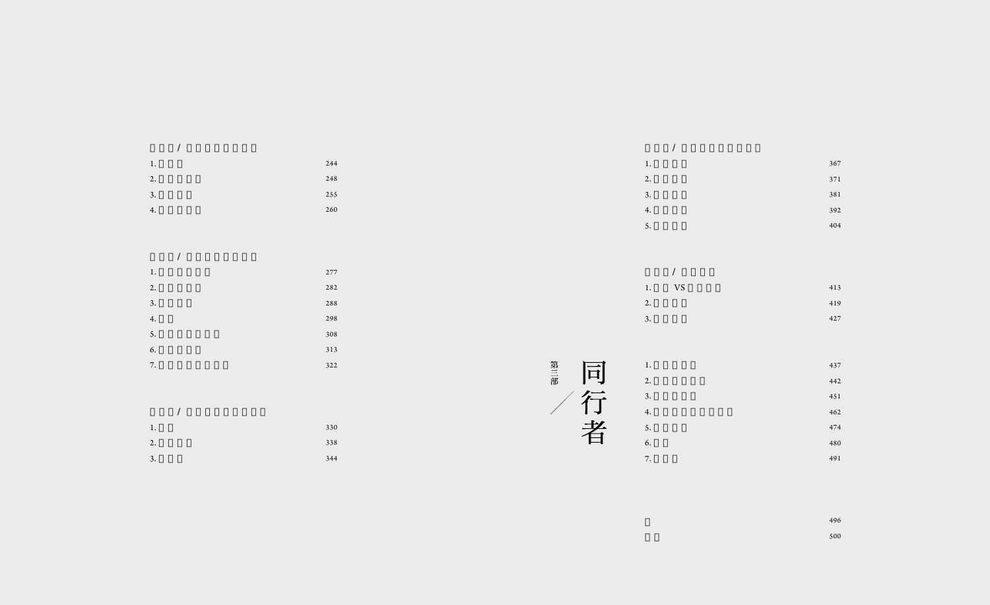#### $1.$  $2.$ 3. 4. 公務員之路  $1.$ 2. 立法先聲 3. 遊說大法 4. 修例之戰 5. 立法後遺 244 248 255 260 367 371 381 392 404

#### 1. 油麻地停車場 2.  $3.$ 4. 戒毒 5. 蘋果樹與搖樹人 6. 醫護的界線 7. 一本護照一個身份 1. VS 2.  $3.$ 277 282 288 298 308 313 322

330 338 344

1. 警權  $2.$  $3.$ 

| $\overrightarrow{\mathbf{\Pi}}$ | 1. | 437 |
|---------------------------------|----|-----|
| 第三部                             | 2. | 442 |
|                                 | 3. | 451 |
|                                 | 4. | 462 |
|                                 | 5. | 474 |
|                                 | 6. | 480 |
|                                 | 7. | 491 |

鳴謝 500

496

413 419 427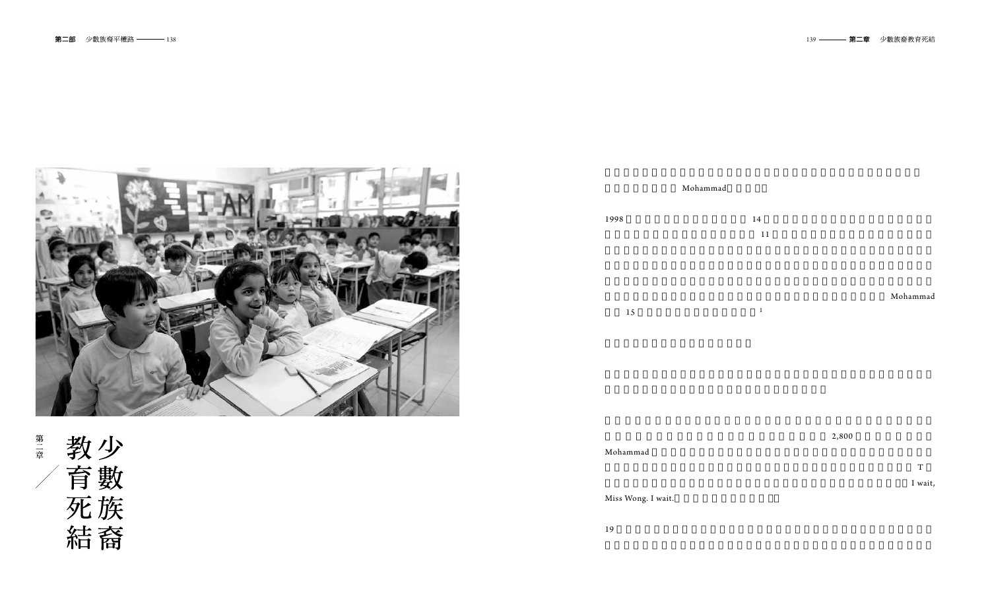

教育死族畜

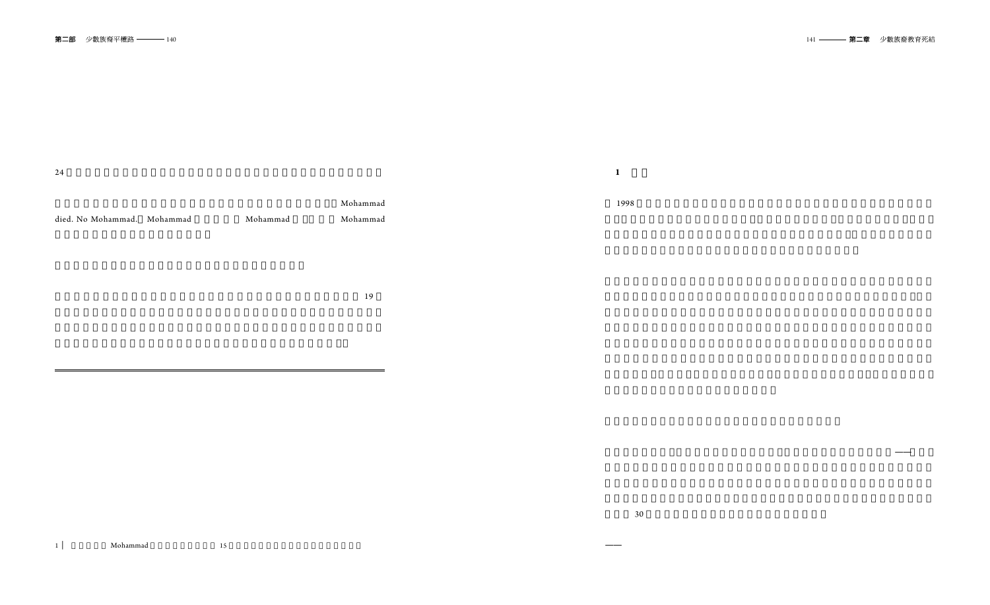在網絡尚未普及,只有電話和傳呼機的年代,王惠芬用最土炮的方式尋校——「裝」

 $24$ 

died. No Mohammad. Mohammad Mohammad Mohammad Mohammad

 $19$ 

Mohammad

1 Mohammad 15

 $\overline{\phantom{0}}$ 

 $30$ 

——

**1** 尋校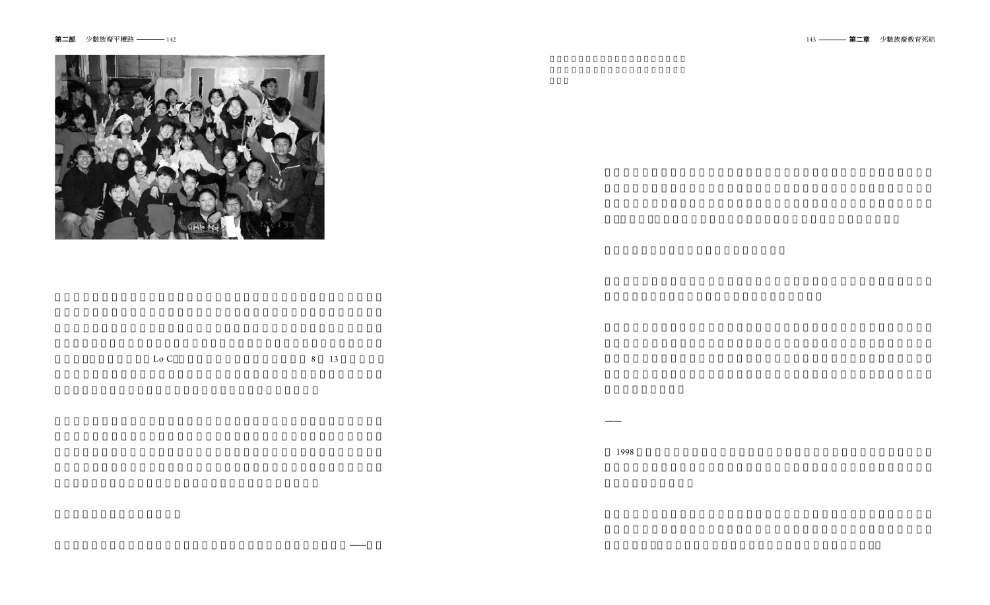

 $\text{Lo C}$  and  $\text{Lo C}$  and  $\text{Lo A}$  13

1998 **1998** 

——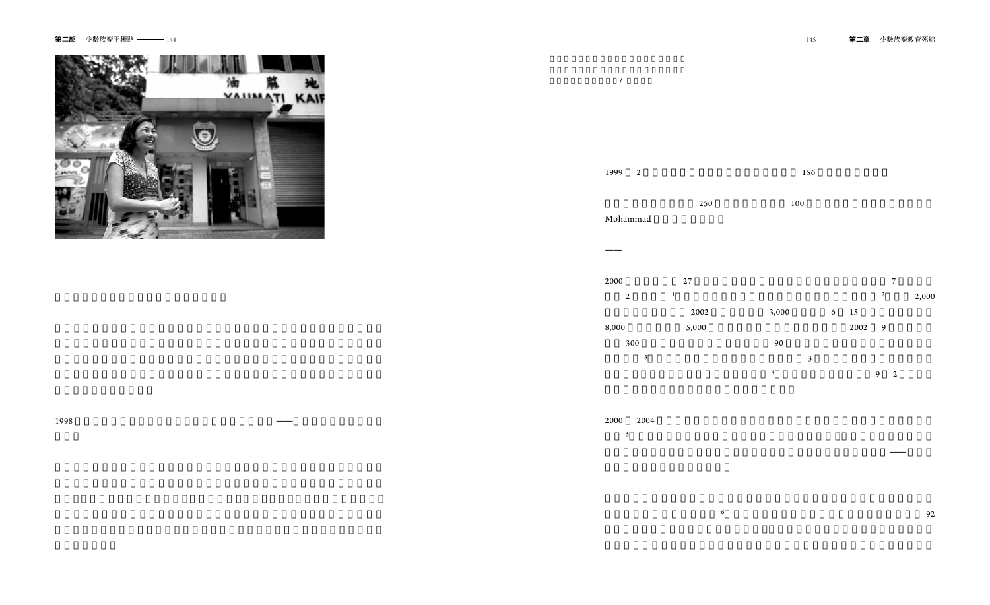



大多較低,一些村校更位置偏僻、校舍破舊。王惠芬看在眼裡,不甘心——何以少

1998  $\qquad$ 

2000 2004  $\bar{S}$ 

 $\frac{6}{92}$